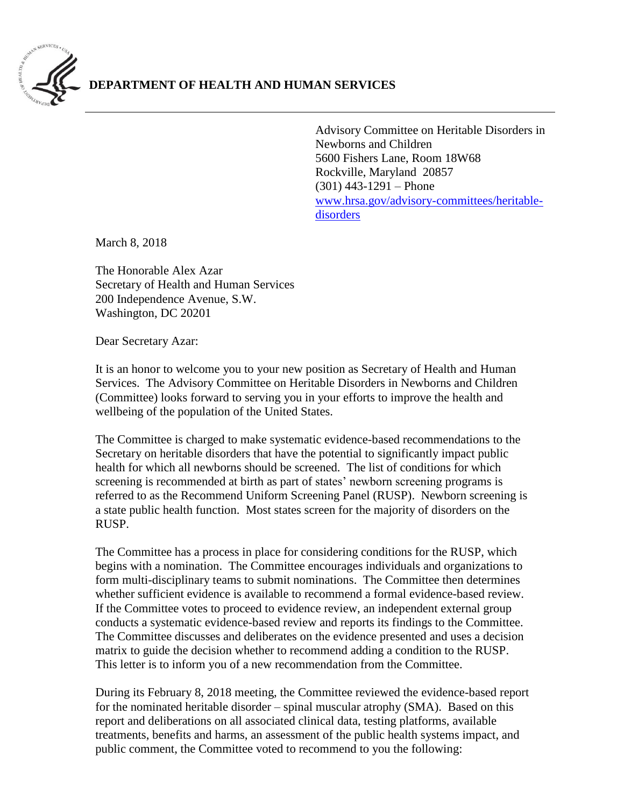

Advisory Committee on Heritable Disorders in Newborns and Children 5600 Fishers Lane, Room 18W68 Rockville, Maryland 20857  $(301)$  443-1291 – Phone [www.hrsa.gov/advisory-committees/heritable](http://www.hrsa.gov/advisory-committees/heritable-disorders)[disorders](http://www.hrsa.gov/advisory-committees/heritable-disorders)

March 8, 2018

The Honorable Alex Azar Secretary of Health and Human Services 200 Independence Avenue, S.W. Washington, DC 20201

Dear Secretary Azar:

It is an honor to welcome you to your new position as Secretary of Health and Human Services. The Advisory Committee on Heritable Disorders in Newborns and Children (Committee) looks forward to serving you in your efforts to improve the health and wellbeing of the population of the United States.

The Committee is charged to make systematic evidence-based recommendations to the Secretary on heritable disorders that have the potential to significantly impact public health for which all newborns should be screened. The list of conditions for which screening is recommended at birth as part of states' newborn screening programs is referred to as the Recommend Uniform Screening Panel (RUSP). Newborn screening is a state public health function. Most states screen for the majority of disorders on the RUSP.

The Committee has a process in place for considering conditions for the RUSP, which begins with a nomination. The Committee encourages individuals and organizations to form multi-disciplinary teams to submit nominations. The Committee then determines whether sufficient evidence is available to recommend a formal evidence-based review. If the Committee votes to proceed to evidence review, an independent external group conducts a systematic evidence-based review and reports its findings to the Committee. The Committee discusses and deliberates on the evidence presented and uses a [decision](https://www.hrsa.gov/sites/default/files/hrsa/advisory-committees/heritable-disorders/rusp/Nominate-condition/decision-matrix.pdf)  [matrix](https://www.hrsa.gov/sites/default/files/hrsa/advisory-committees/heritable-disorders/rusp/Nominate-condition/decision-matrix.pdf) to guide the decision whether to recommend adding a condition to the RUSP. This letter is to inform you of a new recommendation from the Committee.

During its February 8, 2018 meeting, the Committee reviewed the evidence-based report for the nominated heritable disorder – spinal muscular atrophy (SMA). Based on this report and deliberations on all associated clinical data, testing platforms, available treatments, benefits and harms, an assessment of the public health systems impact, and public comment, the Committee voted to recommend to you the following: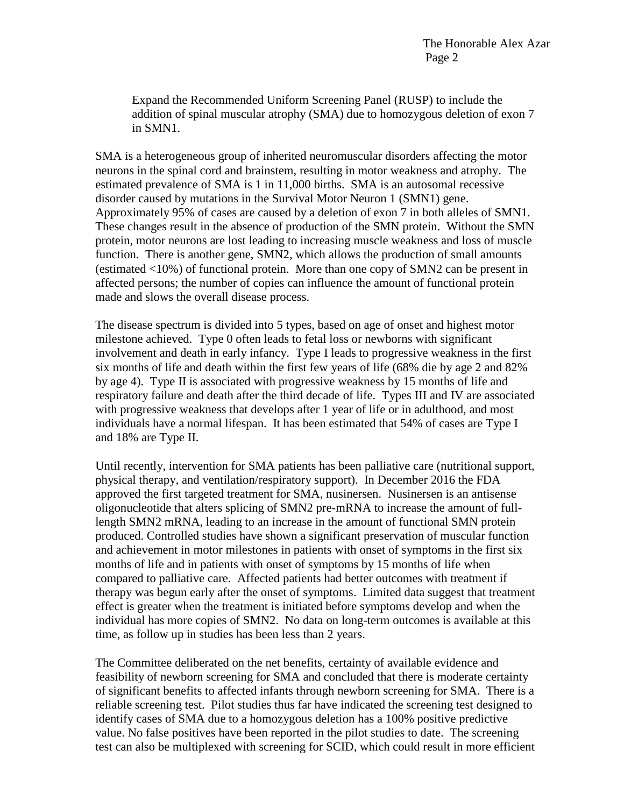Expand the Recommended Uniform Screening Panel (RUSP) to include the addition of spinal muscular atrophy (SMA) due to homozygous deletion of exon 7 in SMN1.

SMA is a heterogeneous group of inherited neuromuscular disorders affecting the motor neurons in the spinal cord and brainstem, resulting in motor weakness and atrophy. The estimated prevalence of SMA is 1 in 11,000 births. SMA is an autosomal recessive disorder caused by mutations in the Survival Motor Neuron 1 (SMN1) gene. Approximately 95% of cases are caused by a deletion of exon 7 in both alleles of SMN1. These changes result in the absence of production of the SMN protein. Without the SMN protein, motor neurons are lost leading to increasing muscle weakness and loss of muscle function. There is another gene, SMN2, which allows the production of small amounts (estimated <10%) of functional protein. More than one copy of SMN2 can be present in affected persons; the number of copies can influence the amount of functional protein made and slows the overall disease process.

The disease spectrum is divided into 5 types, based on age of onset and highest motor milestone achieved. Type 0 often leads to fetal loss or newborns with significant involvement and death in early infancy. Type I leads to progressive weakness in the first six months of life and death within the first few years of life (68% die by age 2 and 82% by age 4). Type II is associated with progressive weakness by 15 months of life and respiratory failure and death after the third decade of life. Types III and IV are associated with progressive weakness that develops after 1 year of life or in adulthood, and most individuals have a normal lifespan. It has been estimated that 54% of cases are Type I and 18% are Type II.

Until recently, intervention for SMA patients has been palliative care (nutritional support, physical therapy, and ventilation/respiratory support). In December 2016 the FDA approved the first targeted treatment for SMA, nusinersen. Nusinersen is an antisense oligonucleotide that alters splicing of SMN2 pre-mRNA to increase the amount of fulllength SMN2 mRNA, leading to an increase in the amount of functional SMN protein produced. Controlled studies have shown a significant preservation of muscular function and achievement in motor milestones in patients with onset of symptoms in the first six months of life and in patients with onset of symptoms by 15 months of life when compared to palliative care. Affected patients had better outcomes with treatment if therapy was begun early after the onset of symptoms. Limited data suggest that treatment effect is greater when the treatment is initiated before symptoms develop and when the individual has more copies of SMN2. No data on long-term outcomes is available at this time, as follow up in studies has been less than 2 years.

The Committee deliberated on the net benefits, certainty of available evidence and feasibility of newborn screening for SMA and concluded that there is moderate certainty of significant benefits to affected infants through newborn screening for SMA. There is a reliable screening test. Pilot studies thus far have indicated the screening test designed to identify cases of SMA due to a homozygous deletion has a 100% positive predictive value. No false positives have been reported in the pilot studies to date. The screening test can also be multiplexed with screening for SCID, which could result in more efficient